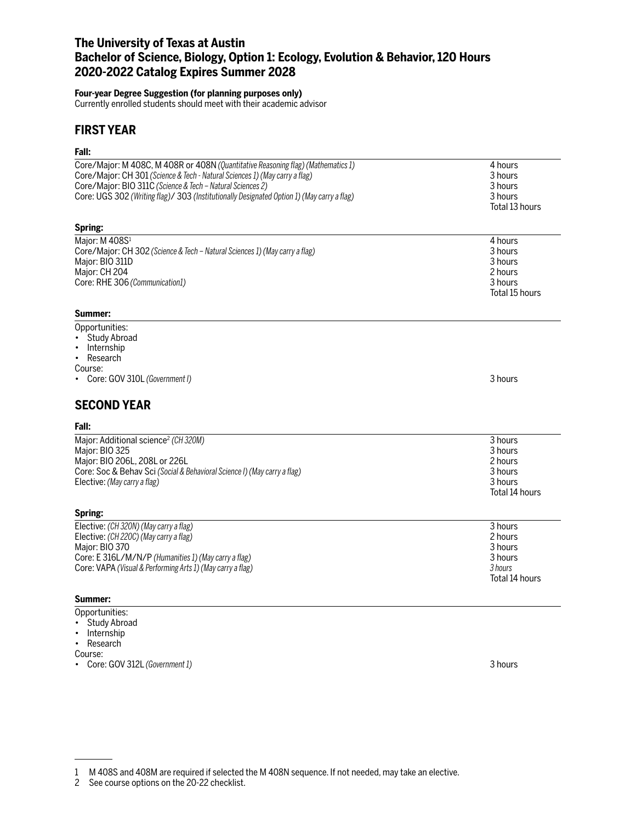# **The University of Texas at Austin Bachelor of Science, Biology, Option 1: Ecology, Evolution & Behavior, 120 Hours 2020-2022 Catalog Expires Summer 2028**

### **Four-year Degree Suggestion (for planning purposes only)**

Currently enrolled students should meet with their academic advisor

# **FIRST YEAR**

# **Fall:**

| ган.                                                                                                                                                                                                                                                                                                                        |                                                                       |
|-----------------------------------------------------------------------------------------------------------------------------------------------------------------------------------------------------------------------------------------------------------------------------------------------------------------------------|-----------------------------------------------------------------------|
| Core/Major: M 408C, M 408R or 408N (Quantitative Reasoning flag) (Mathematics 1)<br>Core/Major: CH 301 (Science & Tech - Natural Sciences 1) (May carry a flag)<br>Core/Major: BIO 311C (Science & Tech - Natural Sciences 2)<br>Core: UGS 302 (Writing flag)/ 303 (Institutionally Designated Option 1) (May carry a flag) | 4 hours<br>3 hours<br>3 hours<br>3 hours<br>Total 13 hours            |
| Spring:                                                                                                                                                                                                                                                                                                                     |                                                                       |
| Major: M 408S1<br>Core/Major: CH 302 (Science & Tech - Natural Sciences 1) (May carry a flag)<br>Major: BIO 311D<br>Major: CH 204<br>Core: RHE 306 (Communication1)<br>Summer:                                                                                                                                              | 4 hours<br>3 hours<br>3 hours<br>2 hours<br>3 hours<br>Total 15 hours |
| Opportunities:                                                                                                                                                                                                                                                                                                              |                                                                       |
| <b>Study Abroad</b><br>Internship<br>Research<br>$\bullet$<br>Course:<br>Core: GOV 310L (Government I)                                                                                                                                                                                                                      | 3 hours                                                               |
| <b>SECOND YEAR</b>                                                                                                                                                                                                                                                                                                          |                                                                       |
| Fall:                                                                                                                                                                                                                                                                                                                       |                                                                       |
| Major: Additional science <sup>2</sup> (CH320M)<br>Major: BIO 325<br>Major: BIO 206L, 208L or 226L<br>Core: Soc & Behav Sci (Social & Behavioral Science I) (May carry a flag)<br>Elective: (May carry a flag)                                                                                                              | 3 hours<br>3 hours<br>2 hours<br>3 hours<br>3 hours<br>Total 14 hours |
| Spring:                                                                                                                                                                                                                                                                                                                     |                                                                       |
| Elective: (CH 320N) (May carry a flag)<br>Elective: (CH 220C) (May carry a flag)<br>Major: BIO 370<br>Core: E 316L/M/N/P (Humanities 1) (May carry a flag)<br>Core: VAPA (Visual & Performing Arts 1) (May carry a flag)                                                                                                    | 3 hours<br>2 hours<br>3 hours<br>3 hours<br>3 hours<br>Total 14 hours |
| Summer:                                                                                                                                                                                                                                                                                                                     |                                                                       |
| Opportunities:<br>Study Abroad                                                                                                                                                                                                                                                                                              |                                                                       |

- 
- Internship • Research

Course:

• Core: GOV 312L *(Government 1)* 3 hours

<sup>1</sup> M 408S and 408M are required if selected the M 408N sequence. If not needed, may take an elective.

<sup>2</sup> See course options on the 20-22 checklist.